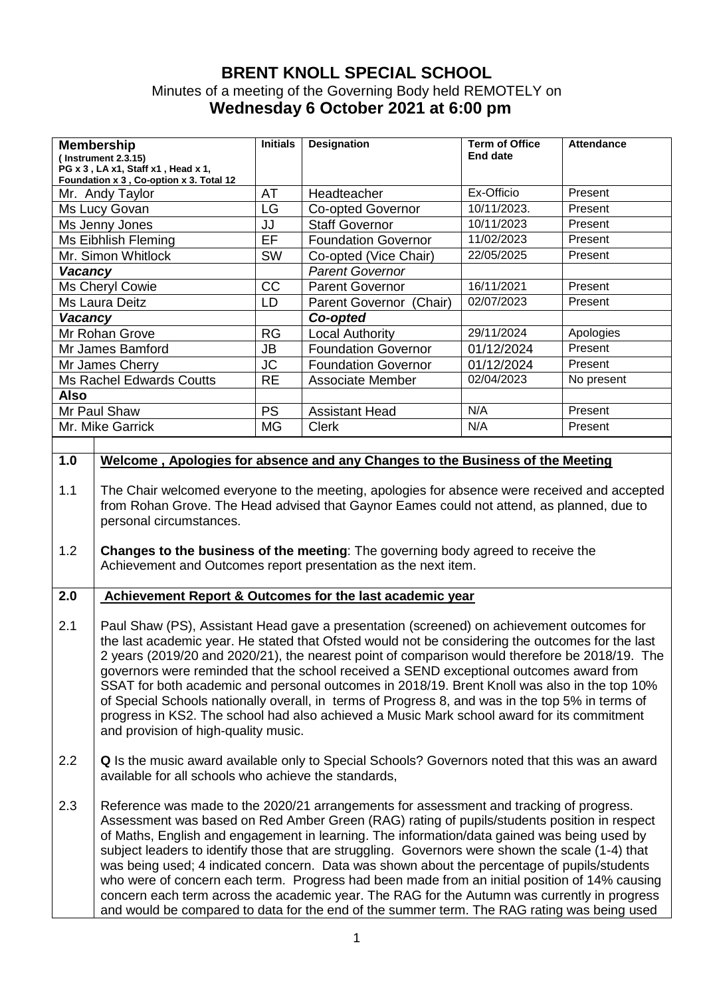## **BRENT KNOLL SPECIAL SCHOOL**  Minutes of a meeting of the Governing Body held REMOTELY on **Wednesday 6 October 2021 at 6:00 pm**

| <b>Membership</b><br>(Instrument 2.3.15)<br>PG x 3, LA x1, Staff x1, Head x 1,<br>Foundation x 3, Co-option x 3. Total 12 | <b>Initials</b> | <b>Designation</b>                | <b>Term of Office</b><br>End date | <b>Attendance</b> |
|---------------------------------------------------------------------------------------------------------------------------|-----------------|-----------------------------------|-----------------------------------|-------------------|
| Mr. Andy Taylor                                                                                                           | AT              | Headteacher                       | Ex-Officio                        | Present           |
| Ms Lucy Govan                                                                                                             | LG              | <b>Co-opted Governor</b>          | 10/11/2023.                       | Present           |
| Ms Jenny Jones                                                                                                            | JJ              | <b>Staff Governor</b>             | 10/11/2023                        | Present           |
| Ms Eibhlish Fleming                                                                                                       | EF              | <b>Foundation Governor</b>        | 11/02/2023                        | Present           |
| Mr. Simon Whitlock                                                                                                        | <b>SW</b>       | Co-opted (Vice Chair)             | 22/05/2025                        | Present           |
| <b>Vacancy</b>                                                                                                            |                 | <b>Parent Governor</b>            |                                   |                   |
| Ms Cheryl Cowie                                                                                                           | CC              | <b>Parent Governor</b>            | 16/11/2021                        | Present           |
| Ms Laura Deitz                                                                                                            | LD              | (Chair)<br><b>Parent Governor</b> | 02/07/2023                        | Present           |
| <b>Vacancy</b>                                                                                                            |                 | Co-opted                          |                                   |                   |
| Mr Rohan Grove                                                                                                            | <b>RG</b>       | <b>Local Authority</b>            | 29/11/2024                        | Apologies         |
| Mr James Bamford                                                                                                          | JB              | <b>Foundation Governor</b>        | 01/12/2024                        | Present           |
| Mr James Cherry                                                                                                           | <b>JC</b>       | <b>Foundation Governor</b>        | 01/12/2024                        | Present           |
| <b>Ms Rachel Edwards Coutts</b>                                                                                           | <b>RE</b>       | Associate Member                  | 02/04/2023                        | No present        |
| <b>Also</b>                                                                                                               |                 |                                   |                                   |                   |
| <b>PS</b><br>Mr Paul Shaw                                                                                                 |                 | <b>Assistant Head</b>             | N/A                               | Present           |
| Mr. Mike Garrick                                                                                                          | МG              | <b>Clerk</b>                      | N/A                               | Present           |

## **1.0**

## **Welcome , Apologies for absence and any Changes to the Business of the Meeting**

- 1.1 The Chair welcomed everyone to the meeting, apologies for absence were received and accepted from Rohan Grove. The Head advised that Gaynor Eames could not attend, as planned, due to personal circumstances.
- 1.2 **Changes to the business of the meeting**: The governing body agreed to receive the Achievement and Outcomes report presentation as the next item.

## **2.0 Achievement Report & Outcomes for the last academic year**

- 2.1 Paul Shaw (PS), Assistant Head gave a presentation (screened) on achievement outcomes for the last academic year. He stated that Ofsted would not be considering the outcomes for the last 2 years (2019/20 and 2020/21), the nearest point of comparison would therefore be 2018/19. The governors were reminded that the school received a SEND exceptional outcomes award from SSAT for both academic and personal outcomes in 2018/19. Brent Knoll was also in the top 10% of Special Schools nationally overall, in terms of Progress 8, and was in the top 5% in terms of progress in KS2. The school had also achieved a Music Mark school award for its commitment and provision of high-quality music.
- 2.2 **Q** Is the music award available only to Special Schools? Governors noted that this was an award available for all schools who achieve the standards,
- 2.3 Reference was made to the 2020/21 arrangements for assessment and tracking of progress. Assessment was based on Red Amber Green (RAG) rating of pupils/students position in respect of Maths, English and engagement in learning. The information/data gained was being used by subject leaders to identify those that are struggling. Governors were shown the scale (1-4) that was being used; 4 indicated concern. Data was shown about the percentage of pupils/students who were of concern each term. Progress had been made from an initial position of 14% causing concern each term across the academic year. The RAG for the Autumn was currently in progress and would be compared to data for the end of the summer term. The RAG rating was being used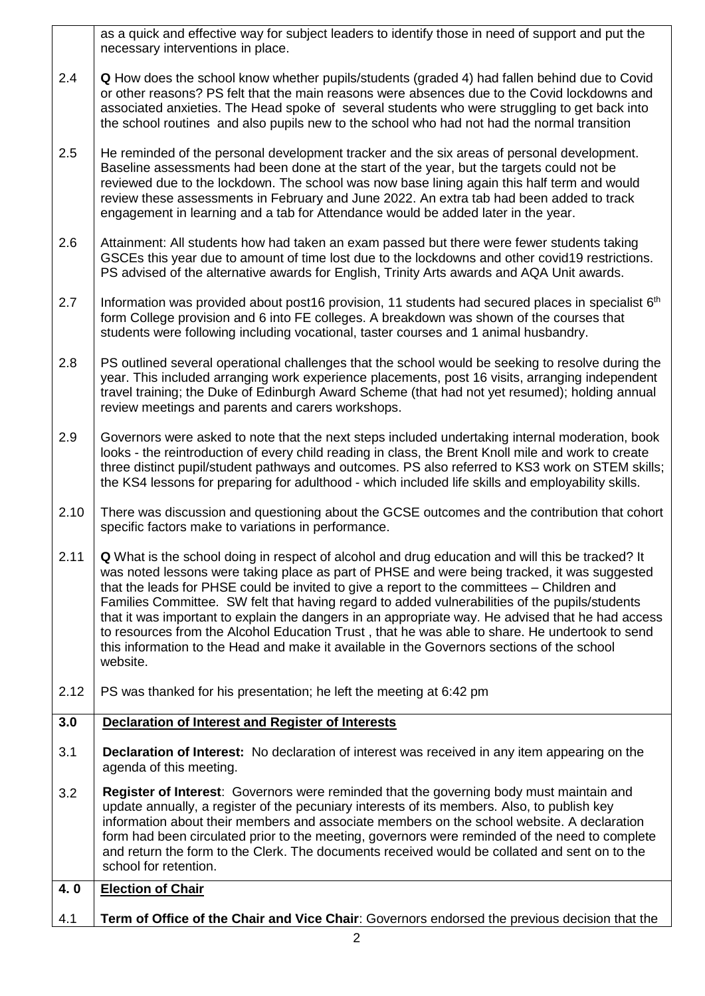| 2.4  | Q How does the school know whether pupils/students (graded 4) had fallen behind due to Covid<br>or other reasons? PS felt that the main reasons were absences due to the Covid lockdowns and<br>associated anxieties. The Head spoke of several students who were struggling to get back into<br>the school routines and also pupils new to the school who had not had the normal transition                                                                                                                                                                                                                                                                                                                             |
|------|--------------------------------------------------------------------------------------------------------------------------------------------------------------------------------------------------------------------------------------------------------------------------------------------------------------------------------------------------------------------------------------------------------------------------------------------------------------------------------------------------------------------------------------------------------------------------------------------------------------------------------------------------------------------------------------------------------------------------|
| 2.5  | He reminded of the personal development tracker and the six areas of personal development.<br>Baseline assessments had been done at the start of the year, but the targets could not be<br>reviewed due to the lockdown. The school was now base lining again this half term and would<br>review these assessments in February and June 2022. An extra tab had been added to track<br>engagement in learning and a tab for Attendance would be added later in the year.                                                                                                                                                                                                                                                  |
| 2.6  | Attainment: All students how had taken an exam passed but there were fewer students taking<br>GSCEs this year due to amount of time lost due to the lockdowns and other covid19 restrictions.<br>PS advised of the alternative awards for English, Trinity Arts awards and AQA Unit awards.                                                                                                                                                                                                                                                                                                                                                                                                                              |
| 2.7  | Information was provided about post16 provision, 11 students had secured places in specialist 6 <sup>th</sup><br>form College provision and 6 into FE colleges. A breakdown was shown of the courses that<br>students were following including vocational, taster courses and 1 animal husbandry.                                                                                                                                                                                                                                                                                                                                                                                                                        |
| 2.8  | PS outlined several operational challenges that the school would be seeking to resolve during the<br>year. This included arranging work experience placements, post 16 visits, arranging independent<br>travel training; the Duke of Edinburgh Award Scheme (that had not yet resumed); holding annual<br>review meetings and parents and carers workshops.                                                                                                                                                                                                                                                                                                                                                              |
| 2.9  | Governors were asked to note that the next steps included undertaking internal moderation, book<br>looks - the reintroduction of every child reading in class, the Brent Knoll mile and work to create<br>three distinct pupil/student pathways and outcomes. PS also referred to KS3 work on STEM skills;<br>the KS4 lessons for preparing for adulthood - which included life skills and employability skills.                                                                                                                                                                                                                                                                                                         |
| 2.10 | There was discussion and questioning about the GCSE outcomes and the contribution that cohort<br>specific factors make to variations in performance.                                                                                                                                                                                                                                                                                                                                                                                                                                                                                                                                                                     |
| 2.11 | <b>Q</b> What is the school doing in respect of alcohol and drug education and will this be tracked? It<br>was noted lessons were taking place as part of PHSE and were being tracked, it was suggested<br>that the leads for PHSE could be invited to give a report to the committees - Children and<br>Families Committee. SW felt that having regard to added vulnerabilities of the pupils/students<br>that it was important to explain the dangers in an appropriate way. He advised that he had access<br>to resources from the Alcohol Education Trust, that he was able to share. He undertook to send<br>this information to the Head and make it available in the Governors sections of the school<br>website. |
| 2.12 | PS was thanked for his presentation; he left the meeting at 6:42 pm                                                                                                                                                                                                                                                                                                                                                                                                                                                                                                                                                                                                                                                      |
| 3.0  | Declaration of Interest and Register of Interests                                                                                                                                                                                                                                                                                                                                                                                                                                                                                                                                                                                                                                                                        |
| 3.1  | <b>Declaration of Interest:</b> No declaration of interest was received in any item appearing on the<br>agenda of this meeting.                                                                                                                                                                                                                                                                                                                                                                                                                                                                                                                                                                                          |
| 3.2  | <b>Register of Interest:</b> Governors were reminded that the governing body must maintain and<br>update annually, a register of the pecuniary interests of its members. Also, to publish key<br>information about their members and associate members on the school website. A declaration<br>form had been circulated prior to the meeting, governors were reminded of the need to complete<br>and return the form to the Clerk. The documents received would be collated and sent on to the<br>school for retention.                                                                                                                                                                                                  |
| 4.0  | <b>Election of Chair</b>                                                                                                                                                                                                                                                                                                                                                                                                                                                                                                                                                                                                                                                                                                 |
| 4.1  | Term of Office of the Chair and Vice Chair: Governors endorsed the previous decision that the                                                                                                                                                                                                                                                                                                                                                                                                                                                                                                                                                                                                                            |
|      | 2                                                                                                                                                                                                                                                                                                                                                                                                                                                                                                                                                                                                                                                                                                                        |

as a quick and effective way for subject leaders to identify those in need of support and put the

necessary interventions in place.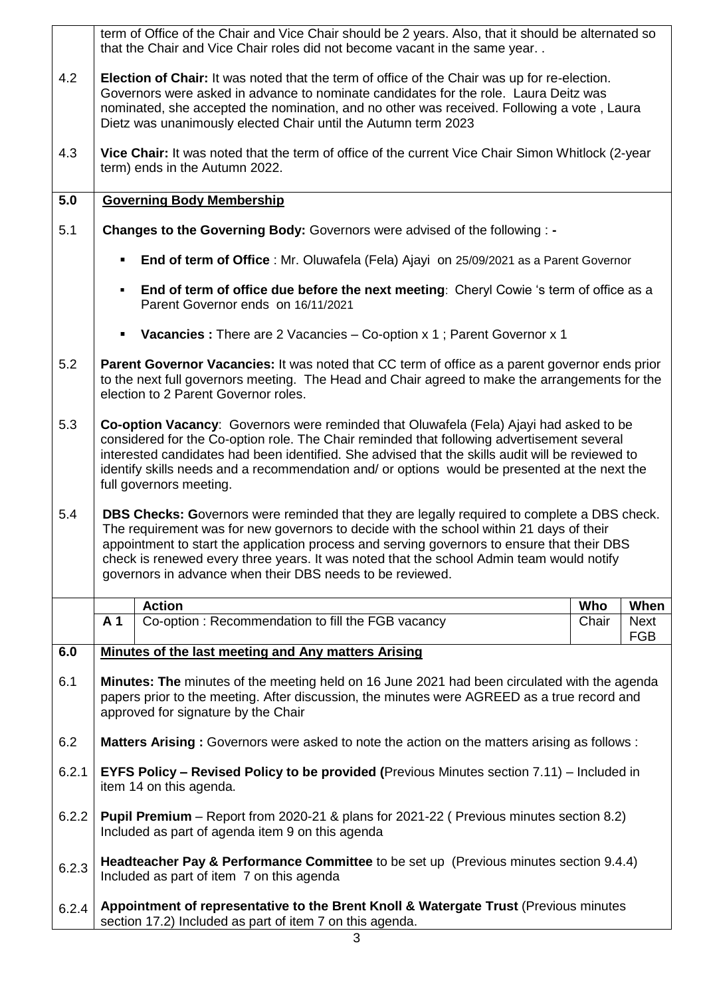|       | term of Office of the Chair and Vice Chair should be 2 years. Also, that it should be alternated so<br>that the Chair and Vice Chair roles did not become vacant in the same year                                                                                                                                                                                                                                                                     |  |  |  |  |
|-------|-------------------------------------------------------------------------------------------------------------------------------------------------------------------------------------------------------------------------------------------------------------------------------------------------------------------------------------------------------------------------------------------------------------------------------------------------------|--|--|--|--|
| 4.2   | Election of Chair: It was noted that the term of office of the Chair was up for re-election.<br>Governors were asked in advance to nominate candidates for the role. Laura Deitz was<br>nominated, she accepted the nomination, and no other was received. Following a vote, Laura<br>Dietz was unanimously elected Chair until the Autumn term 2023                                                                                                  |  |  |  |  |
| 4.3   | Vice Chair: It was noted that the term of office of the current Vice Chair Simon Whitlock (2-year<br>term) ends in the Autumn 2022.                                                                                                                                                                                                                                                                                                                   |  |  |  |  |
| 5.0   | <b>Governing Body Membership</b>                                                                                                                                                                                                                                                                                                                                                                                                                      |  |  |  |  |
| 5.1   | Changes to the Governing Body: Governors were advised of the following : -                                                                                                                                                                                                                                                                                                                                                                            |  |  |  |  |
|       | End of term of Office : Mr. Oluwafela (Fela) Ajayi on 25/09/2021 as a Parent Governor<br>$\blacksquare$                                                                                                                                                                                                                                                                                                                                               |  |  |  |  |
|       | End of term of office due before the next meeting: Cheryl Cowie 's term of office as a<br>$\blacksquare$<br>Parent Governor ends on 16/11/2021                                                                                                                                                                                                                                                                                                        |  |  |  |  |
|       | Vacancies: There are 2 Vacancies - Co-option x 1; Parent Governor x 1<br>$\blacksquare$                                                                                                                                                                                                                                                                                                                                                               |  |  |  |  |
| 5.2   | Parent Governor Vacancies: It was noted that CC term of office as a parent governor ends prior<br>to the next full governors meeting. The Head and Chair agreed to make the arrangements for the<br>election to 2 Parent Governor roles.                                                                                                                                                                                                              |  |  |  |  |
| 5.3   | Co-option Vacancy: Governors were reminded that Oluwafela (Fela) Ajayi had asked to be<br>considered for the Co-option role. The Chair reminded that following advertisement several<br>interested candidates had been identified. She advised that the skills audit will be reviewed to<br>identify skills needs and a recommendation and/ or options would be presented at the next the<br>full governors meeting.                                  |  |  |  |  |
| 5.4   | <b>DBS Checks: Governors were reminded that they are legally required to complete a DBS check.</b><br>The requirement was for new governors to decide with the school within 21 days of their<br>appointment to start the application process and serving governors to ensure that their DBS<br>check is renewed every three years. It was noted that the school Admin team would notify<br>governors in advance when their DBS needs to be reviewed. |  |  |  |  |
|       | <b>Action</b><br>When<br>Who                                                                                                                                                                                                                                                                                                                                                                                                                          |  |  |  |  |
|       | A <sub>1</sub><br>Co-option: Recommendation to fill the FGB vacancy<br>Chair<br><b>Next</b><br><b>FGB</b>                                                                                                                                                                                                                                                                                                                                             |  |  |  |  |
| 6.0   | Minutes of the last meeting and Any matters Arising                                                                                                                                                                                                                                                                                                                                                                                                   |  |  |  |  |
| 6.1   | <b>Minutes: The minutes of the meeting held on 16 June 2021 had been circulated with the agenda</b><br>papers prior to the meeting. After discussion, the minutes were AGREED as a true record and<br>approved for signature by the Chair                                                                                                                                                                                                             |  |  |  |  |
| 6.2   | <b>Matters Arising:</b> Governors were asked to note the action on the matters arising as follows:                                                                                                                                                                                                                                                                                                                                                    |  |  |  |  |
| 6.2.1 | EYFS Policy - Revised Policy to be provided (Previous Minutes section 7.11) - Included in<br>item 14 on this agenda.                                                                                                                                                                                                                                                                                                                                  |  |  |  |  |
| 6.2.2 | <b>Pupil Premium</b> – Report from 2020-21 & plans for 2021-22 (Previous minutes section 8.2)<br>Included as part of agenda item 9 on this agenda                                                                                                                                                                                                                                                                                                     |  |  |  |  |
| 6.2.3 | Headteacher Pay & Performance Committee to be set up (Previous minutes section 9.4.4)<br>Included as part of item 7 on this agenda                                                                                                                                                                                                                                                                                                                    |  |  |  |  |
| 6.2.4 | Appointment of representative to the Brent Knoll & Watergate Trust (Previous minutes<br>section 17.2) Included as part of item 7 on this agenda.                                                                                                                                                                                                                                                                                                      |  |  |  |  |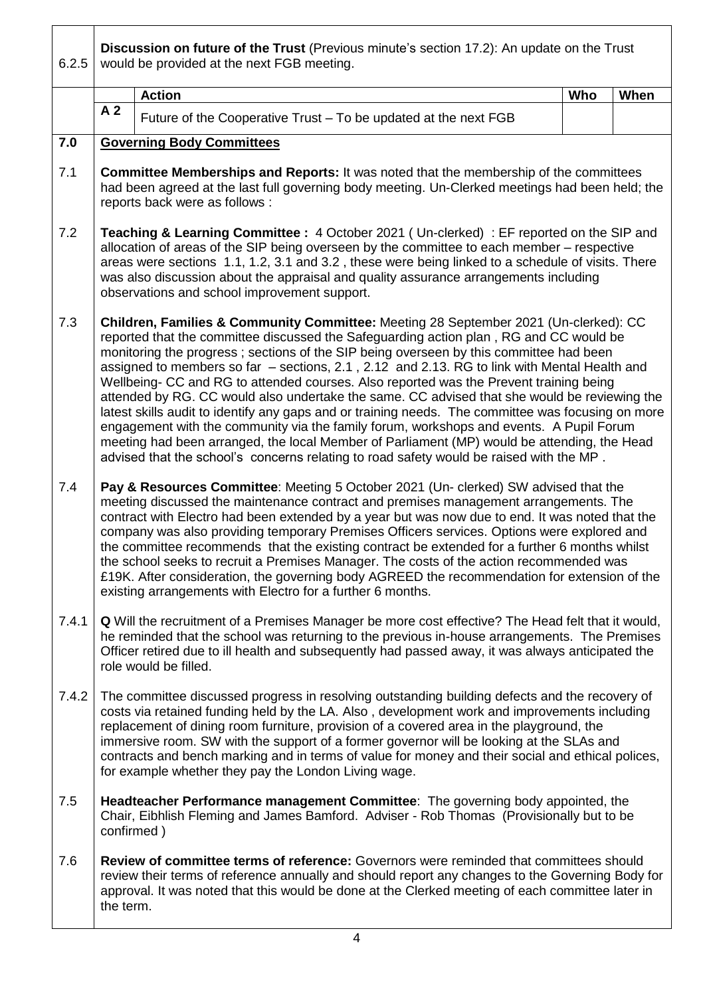6.2.5 **Discussion on future of the Trust** (Previous minute's section 17.2): An update on the Trust would be provided at the next FGB meeting. Action **Mathematic Contract Contract Contract Contract Contract Contract Contract Contract Contract Contract Contract Contract Contract Contract Contract Contract Contract Contract Contract Contract Contract Contract Contr A 2** | Future of the Cooperative Trust – To be updated at the next FGB **7.0**  7.1 7.2 7.3 7.4 7.4.1 7.4.2 7.5 7.6 **Governing Body Committees Committee Memberships and Reports:** It was noted that the membership of the committees had been agreed at the last full governing body meeting. Un-Clerked meetings had been held; the reports back were as follows : **Teaching & Learning Committee :** 4 October 2021 ( Un-clerked) : EF reported on the SIP and allocation of areas of the SIP being overseen by the committee to each member – respective areas were sections 1.1, 1.2, 3.1 and 3.2 , these were being linked to a schedule of visits. There was also discussion about the appraisal and quality assurance arrangements including observations and school improvement support. **Children, Families & Community Committee:** Meeting 28 September 2021 (Un-clerked): CC reported that the committee discussed the Safeguarding action plan , RG and CC would be monitoring the progress ; sections of the SIP being overseen by this committee had been assigned to members so far – sections, 2.1 , 2.12 and 2.13. RG to link with Mental Health and Wellbeing- CC and RG to attended courses. Also reported was the Prevent training being attended by RG. CC would also undertake the same. CC advised that she would be reviewing the latest skills audit to identify any gaps and or training needs. The committee was focusing on more engagement with the community via the family forum, workshops and events. A Pupil Forum meeting had been arranged, the local Member of Parliament (MP) would be attending, the Head advised that the school's concerns relating to road safety would be raised with the MP . **Pay & Resources Committee**: Meeting 5 October 2021 (Un- clerked) SW advised that the meeting discussed the maintenance contract and premises management arrangements. The contract with Electro had been extended by a year but was now due to end. It was noted that the company was also providing temporary Premises Officers services. Options were explored and the committee recommends that the existing contract be extended for a further 6 months whilst the school seeks to recruit a Premises Manager. The costs of the action recommended was £19K. After consideration, the governing body AGREED the recommendation for extension of the existing arrangements with Electro for a further 6 months. **Q** Will the recruitment of a Premises Manager be more cost effective? The Head felt that it would, he reminded that the school was returning to the previous in-house arrangements. The Premises Officer retired due to ill health and subsequently had passed away, it was always anticipated the role would be filled. The committee discussed progress in resolving outstanding building defects and the recovery of costs via retained funding held by the LA. Also , development work and improvements including replacement of dining room furniture, provision of a covered area in the playground, the immersive room. SW with the support of a former governor will be looking at the SLAs and contracts and bench marking and in terms of value for money and their social and ethical polices, for example whether they pay the London Living wage. **Headteacher Performance management Committee**: The governing body appointed, the Chair, Eibhlish Fleming and James Bamford. Adviser - Rob Thomas (Provisionally but to be confirmed ) **Review of committee terms of reference:** Governors were reminded that committees should review their terms of reference annually and should report any changes to the Governing Body for approval. It was noted that this would be done at the Clerked meeting of each committee later in the term.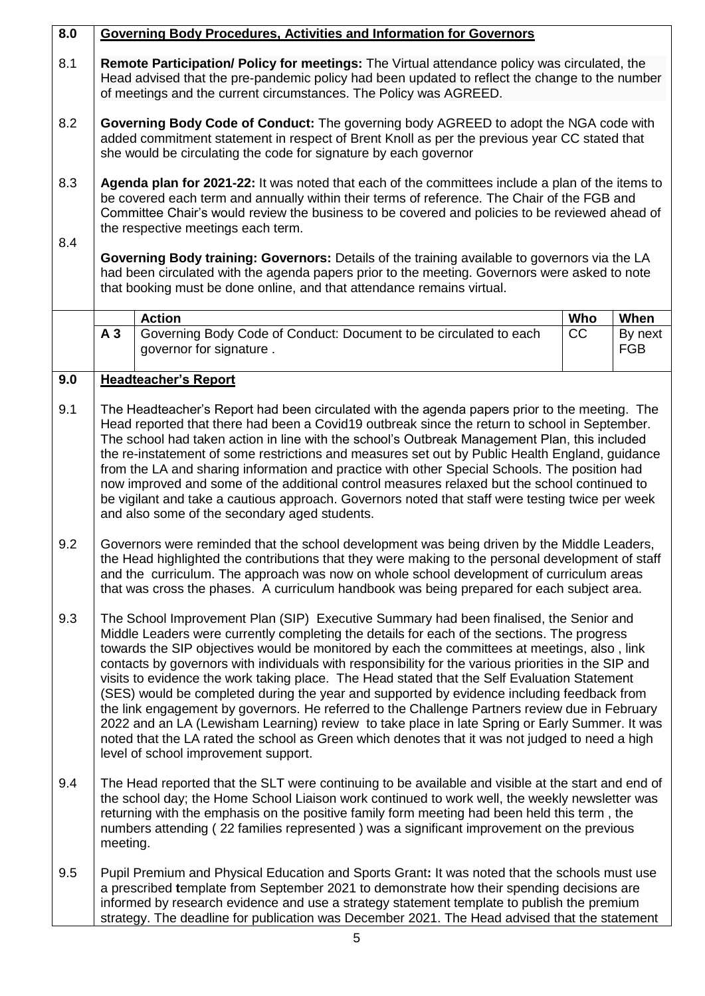| 8.0 | <b>Governing Body Procedures, Activities and Information for Governors</b>                                                                                                                                                                                                                                                                                                                                                                                                                                                                                                                                                                                                                                                                                                                                                                                                                                                                 |                                                                                                                                                                                                                                                                                                                                                                                                               |     |                       |  |
|-----|--------------------------------------------------------------------------------------------------------------------------------------------------------------------------------------------------------------------------------------------------------------------------------------------------------------------------------------------------------------------------------------------------------------------------------------------------------------------------------------------------------------------------------------------------------------------------------------------------------------------------------------------------------------------------------------------------------------------------------------------------------------------------------------------------------------------------------------------------------------------------------------------------------------------------------------------|---------------------------------------------------------------------------------------------------------------------------------------------------------------------------------------------------------------------------------------------------------------------------------------------------------------------------------------------------------------------------------------------------------------|-----|-----------------------|--|
| 8.1 | Remote Participation/ Policy for meetings: The Virtual attendance policy was circulated, the<br>Head advised that the pre-pandemic policy had been updated to reflect the change to the number<br>of meetings and the current circumstances. The Policy was AGREED.                                                                                                                                                                                                                                                                                                                                                                                                                                                                                                                                                                                                                                                                        |                                                                                                                                                                                                                                                                                                                                                                                                               |     |                       |  |
| 8.2 | Governing Body Code of Conduct: The governing body AGREED to adopt the NGA code with<br>added commitment statement in respect of Brent Knoll as per the previous year CC stated that<br>she would be circulating the code for signature by each governor                                                                                                                                                                                                                                                                                                                                                                                                                                                                                                                                                                                                                                                                                   |                                                                                                                                                                                                                                                                                                                                                                                                               |     |                       |  |
| 8.3 | Agenda plan for 2021-22: It was noted that each of the committees include a plan of the items to<br>be covered each term and annually within their terms of reference. The Chair of the FGB and<br>Committee Chair's would review the business to be covered and policies to be reviewed ahead of<br>the respective meetings each term.                                                                                                                                                                                                                                                                                                                                                                                                                                                                                                                                                                                                    |                                                                                                                                                                                                                                                                                                                                                                                                               |     |                       |  |
| 8.4 | Governing Body training: Governors: Details of the training available to governors via the LA<br>had been circulated with the agenda papers prior to the meeting. Governors were asked to note<br>that booking must be done online, and that attendance remains virtual.                                                                                                                                                                                                                                                                                                                                                                                                                                                                                                                                                                                                                                                                   |                                                                                                                                                                                                                                                                                                                                                                                                               |     |                       |  |
|     |                                                                                                                                                                                                                                                                                                                                                                                                                                                                                                                                                                                                                                                                                                                                                                                                                                                                                                                                            | <b>Action</b>                                                                                                                                                                                                                                                                                                                                                                                                 | Who | When                  |  |
|     | A <sub>3</sub>                                                                                                                                                                                                                                                                                                                                                                                                                                                                                                                                                                                                                                                                                                                                                                                                                                                                                                                             | Governing Body Code of Conduct: Document to be circulated to each<br>governor for signature.                                                                                                                                                                                                                                                                                                                  | CC  | By next<br><b>FGB</b> |  |
| 9.0 |                                                                                                                                                                                                                                                                                                                                                                                                                                                                                                                                                                                                                                                                                                                                                                                                                                                                                                                                            | <b>Headteacher's Report</b>                                                                                                                                                                                                                                                                                                                                                                                   |     |                       |  |
| 9.1 | The Headteacher's Report had been circulated with the agenda papers prior to the meeting. The<br>Head reported that there had been a Covid19 outbreak since the return to school in September.<br>The school had taken action in line with the school's Outbreak Management Plan, this included<br>the re-instatement of some restrictions and measures set out by Public Health England, guidance<br>from the LA and sharing information and practice with other Special Schools. The position had<br>now improved and some of the additional control measures relaxed but the school continued to<br>be vigilant and take a cautious approach. Governors noted that staff were testing twice per week<br>and also some of the secondary aged students.                                                                                                                                                                                   |                                                                                                                                                                                                                                                                                                                                                                                                               |     |                       |  |
| 9.2 | Governors were reminded that the school development was being driven by the Middle Leaders,<br>the Head highlighted the contributions that they were making to the personal development of staff<br>and the curriculum. The approach was now on whole school development of curriculum areas<br>that was cross the phases. A curriculum handbook was being prepared for each subject area.                                                                                                                                                                                                                                                                                                                                                                                                                                                                                                                                                 |                                                                                                                                                                                                                                                                                                                                                                                                               |     |                       |  |
| 9.3 | The School Improvement Plan (SIP) Executive Summary had been finalised, the Senior and<br>Middle Leaders were currently completing the details for each of the sections. The progress<br>towards the SIP objectives would be monitored by each the committees at meetings, also, link<br>contacts by governors with individuals with responsibility for the various priorities in the SIP and<br>visits to evidence the work taking place. The Head stated that the Self Evaluation Statement<br>(SES) would be completed during the year and supported by evidence including feedback from<br>the link engagement by governors. He referred to the Challenge Partners review due in February<br>2022 and an LA (Lewisham Learning) review to take place in late Spring or Early Summer. It was<br>noted that the LA rated the school as Green which denotes that it was not judged to need a high<br>level of school improvement support. |                                                                                                                                                                                                                                                                                                                                                                                                               |     |                       |  |
| 9.4 |                                                                                                                                                                                                                                                                                                                                                                                                                                                                                                                                                                                                                                                                                                                                                                                                                                                                                                                                            | The Head reported that the SLT were continuing to be available and visible at the start and end of<br>the school day; the Home School Liaison work continued to work well, the weekly newsletter was<br>returning with the emphasis on the positive family form meeting had been held this term, the<br>numbers attending (22 families represented) was a significant improvement on the previous<br>meeting. |     |                       |  |
| 9.5 |                                                                                                                                                                                                                                                                                                                                                                                                                                                                                                                                                                                                                                                                                                                                                                                                                                                                                                                                            | Pupil Premium and Physical Education and Sports Grant: It was noted that the schools must use<br>a prescribed template from September 2021 to demonstrate how their spending decisions are<br>informed by research evidence and use a strategy statement template to publish the premium<br>strategy. The deadline for publication was December 2021. The Head advised that the statement                     |     |                       |  |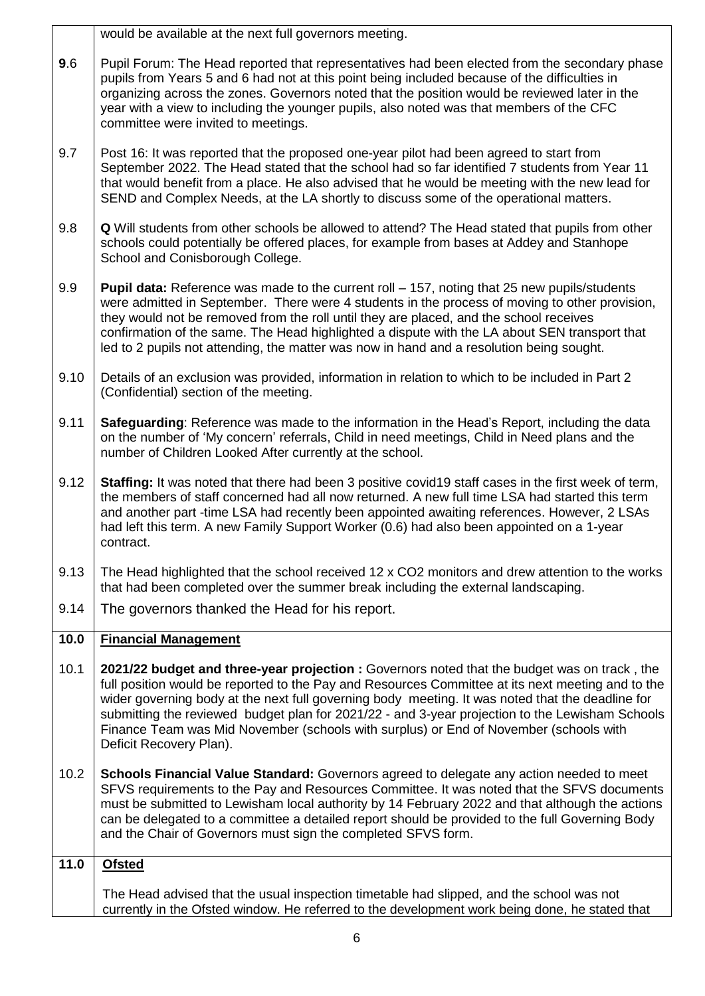|      | would be available at the next full governors meeting.                                                                                                                                                                                                                                                                                                                                                                                                                                                                       |
|------|------------------------------------------------------------------------------------------------------------------------------------------------------------------------------------------------------------------------------------------------------------------------------------------------------------------------------------------------------------------------------------------------------------------------------------------------------------------------------------------------------------------------------|
| 9.6  | Pupil Forum: The Head reported that representatives had been elected from the secondary phase<br>pupils from Years 5 and 6 had not at this point being included because of the difficulties in<br>organizing across the zones. Governors noted that the position would be reviewed later in the<br>year with a view to including the younger pupils, also noted was that members of the CFC<br>committee were invited to meetings.                                                                                           |
| 9.7  | Post 16: It was reported that the proposed one-year pilot had been agreed to start from<br>September 2022. The Head stated that the school had so far identified 7 students from Year 11<br>that would benefit from a place. He also advised that he would be meeting with the new lead for<br>SEND and Complex Needs, at the LA shortly to discuss some of the operational matters.                                                                                                                                         |
| 9.8  | <b>Q</b> Will students from other schools be allowed to attend? The Head stated that pupils from other<br>schools could potentially be offered places, for example from bases at Addey and Stanhope<br>School and Conisborough College.                                                                                                                                                                                                                                                                                      |
| 9.9  | <b>Pupil data:</b> Reference was made to the current roll – 157, noting that 25 new pupils/students<br>were admitted in September. There were 4 students in the process of moving to other provision,<br>they would not be removed from the roll until they are placed, and the school receives<br>confirmation of the same. The Head highlighted a dispute with the LA about SEN transport that<br>led to 2 pupils not attending, the matter was now in hand and a resolution being sought.                                 |
| 9.10 | Details of an exclusion was provided, information in relation to which to be included in Part 2<br>(Confidential) section of the meeting.                                                                                                                                                                                                                                                                                                                                                                                    |
| 9.11 | Safeguarding: Reference was made to the information in the Head's Report, including the data<br>on the number of 'My concern' referrals, Child in need meetings, Child in Need plans and the<br>number of Children Looked After currently at the school.                                                                                                                                                                                                                                                                     |
| 9.12 | Staffing: It was noted that there had been 3 positive covid19 staff cases in the first week of term,<br>the members of staff concerned had all now returned. A new full time LSA had started this term<br>and another part -time LSA had recently been appointed awaiting references. However, 2 LSAs<br>had left this term. A new Family Support Worker (0.6) had also been appointed on a 1-year<br>contract.                                                                                                              |
|      |                                                                                                                                                                                                                                                                                                                                                                                                                                                                                                                              |
| 9.13 | The Head highlighted that the school received 12 x CO2 monitors and drew attention to the works<br>that had been completed over the summer break including the external landscaping.                                                                                                                                                                                                                                                                                                                                         |
| 9.14 | The governors thanked the Head for his report.                                                                                                                                                                                                                                                                                                                                                                                                                                                                               |
| 10.0 | <b>Financial Management</b>                                                                                                                                                                                                                                                                                                                                                                                                                                                                                                  |
| 10.1 | 2021/22 budget and three-year projection : Governors noted that the budget was on track, the<br>full position would be reported to the Pay and Resources Committee at its next meeting and to the<br>wider governing body at the next full governing body meeting. It was noted that the deadline for<br>submitting the reviewed budget plan for 2021/22 - and 3-year projection to the Lewisham Schools<br>Finance Team was Mid November (schools with surplus) or End of November (schools with<br>Deficit Recovery Plan). |
| 10.2 | Schools Financial Value Standard: Governors agreed to delegate any action needed to meet<br>SFVS requirements to the Pay and Resources Committee. It was noted that the SFVS documents<br>must be submitted to Lewisham local authority by 14 February 2022 and that although the actions<br>can be delegated to a committee a detailed report should be provided to the full Governing Body<br>and the Chair of Governors must sign the completed SFVS form.                                                                |
| 11.0 | <b>Ofsted</b>                                                                                                                                                                                                                                                                                                                                                                                                                                                                                                                |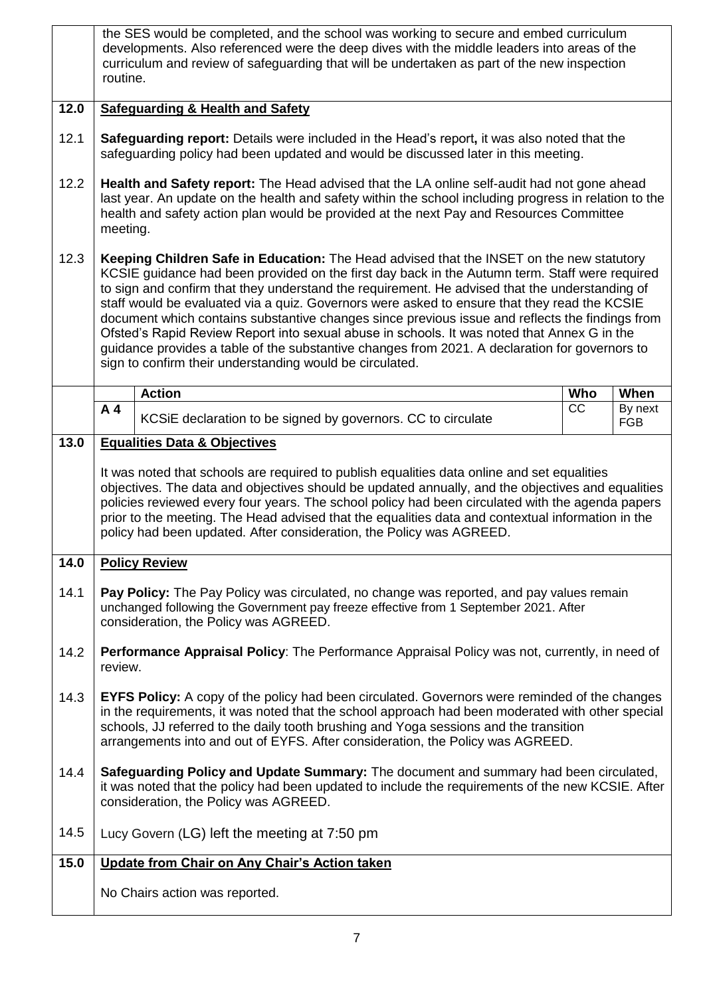|      | routine.                                                                                                                                                                                                                                                                                                                                                                                                                                                                                                                                                                                                                                                                                                                                                            | the SES would be completed, and the school was working to secure and embed curriculum<br>developments. Also referenced were the deep dives with the middle leaders into areas of the<br>curriculum and review of safeguarding that will be undertaken as part of the new inspection                                                                                                                                                                                               |            |                       |
|------|---------------------------------------------------------------------------------------------------------------------------------------------------------------------------------------------------------------------------------------------------------------------------------------------------------------------------------------------------------------------------------------------------------------------------------------------------------------------------------------------------------------------------------------------------------------------------------------------------------------------------------------------------------------------------------------------------------------------------------------------------------------------|-----------------------------------------------------------------------------------------------------------------------------------------------------------------------------------------------------------------------------------------------------------------------------------------------------------------------------------------------------------------------------------------------------------------------------------------------------------------------------------|------------|-----------------------|
| 12.0 |                                                                                                                                                                                                                                                                                                                                                                                                                                                                                                                                                                                                                                                                                                                                                                     | <b>Safeguarding &amp; Health and Safety</b>                                                                                                                                                                                                                                                                                                                                                                                                                                       |            |                       |
| 12.1 |                                                                                                                                                                                                                                                                                                                                                                                                                                                                                                                                                                                                                                                                                                                                                                     | Safeguarding report: Details were included in the Head's report, it was also noted that the<br>safeguarding policy had been updated and would be discussed later in this meeting.                                                                                                                                                                                                                                                                                                 |            |                       |
| 12.2 | Health and Safety report: The Head advised that the LA online self-audit had not gone ahead<br>last year. An update on the health and safety within the school including progress in relation to the<br>health and safety action plan would be provided at the next Pay and Resources Committee<br>meeting.                                                                                                                                                                                                                                                                                                                                                                                                                                                         |                                                                                                                                                                                                                                                                                                                                                                                                                                                                                   |            |                       |
| 12.3 | <b>Keeping Children Safe in Education:</b> The Head advised that the INSET on the new statutory<br>KCSIE guidance had been provided on the first day back in the Autumn term. Staff were required<br>to sign and confirm that they understand the requirement. He advised that the understanding of<br>staff would be evaluated via a quiz. Governors were asked to ensure that they read the KCSIE<br>document which contains substantive changes since previous issue and reflects the findings from<br>Ofsted's Rapid Review Report into sexual abuse in schools. It was noted that Annex G in the<br>guidance provides a table of the substantive changes from 2021. A declaration for governors to<br>sign to confirm their understanding would be circulated. |                                                                                                                                                                                                                                                                                                                                                                                                                                                                                   |            |                       |
|      |                                                                                                                                                                                                                                                                                                                                                                                                                                                                                                                                                                                                                                                                                                                                                                     | <b>Action</b>                                                                                                                                                                                                                                                                                                                                                                                                                                                                     | <b>Who</b> | When                  |
|      | A4                                                                                                                                                                                                                                                                                                                                                                                                                                                                                                                                                                                                                                                                                                                                                                  | KCSiE declaration to be signed by governors. CC to circulate                                                                                                                                                                                                                                                                                                                                                                                                                      | CC         | By next<br><b>FGB</b> |
| 13.0 |                                                                                                                                                                                                                                                                                                                                                                                                                                                                                                                                                                                                                                                                                                                                                                     | <b>Equalities Data &amp; Objectives</b>                                                                                                                                                                                                                                                                                                                                                                                                                                           |            |                       |
|      |                                                                                                                                                                                                                                                                                                                                                                                                                                                                                                                                                                                                                                                                                                                                                                     | It was noted that schools are required to publish equalities data online and set equalities<br>objectives. The data and objectives should be updated annually, and the objectives and equalities<br>policies reviewed every four years. The school policy had been circulated with the agenda papers<br>prior to the meeting. The Head advised that the equalities data and contextual information in the<br>policy had been updated. After consideration, the Policy was AGREED. |            |                       |
| 14.0 |                                                                                                                                                                                                                                                                                                                                                                                                                                                                                                                                                                                                                                                                                                                                                                     | <b>Policy Review</b>                                                                                                                                                                                                                                                                                                                                                                                                                                                              |            |                       |
| 14.1 |                                                                                                                                                                                                                                                                                                                                                                                                                                                                                                                                                                                                                                                                                                                                                                     | Pay Policy: The Pay Policy was circulated, no change was reported, and pay values remain<br>unchanged following the Government pay freeze effective from 1 September 2021. After<br>consideration, the Policy was AGREED.                                                                                                                                                                                                                                                         |            |                       |
| 14.2 | review.                                                                                                                                                                                                                                                                                                                                                                                                                                                                                                                                                                                                                                                                                                                                                             | Performance Appraisal Policy: The Performance Appraisal Policy was not, currently, in need of                                                                                                                                                                                                                                                                                                                                                                                     |            |                       |
| 14.3 |                                                                                                                                                                                                                                                                                                                                                                                                                                                                                                                                                                                                                                                                                                                                                                     | <b>EYFS Policy:</b> A copy of the policy had been circulated. Governors were reminded of the changes<br>in the requirements, it was noted that the school approach had been moderated with other special<br>schools, JJ referred to the daily tooth brushing and Yoga sessions and the transition<br>arrangements into and out of EYFS. After consideration, the Policy was AGREED.                                                                                               |            |                       |
| 14.4 |                                                                                                                                                                                                                                                                                                                                                                                                                                                                                                                                                                                                                                                                                                                                                                     | Safeguarding Policy and Update Summary: The document and summary had been circulated,<br>it was noted that the policy had been updated to include the requirements of the new KCSIE. After<br>consideration, the Policy was AGREED.                                                                                                                                                                                                                                               |            |                       |
| 14.5 |                                                                                                                                                                                                                                                                                                                                                                                                                                                                                                                                                                                                                                                                                                                                                                     | Lucy Govern (LG) left the meeting at 7:50 pm                                                                                                                                                                                                                                                                                                                                                                                                                                      |            |                       |
| 15.0 |                                                                                                                                                                                                                                                                                                                                                                                                                                                                                                                                                                                                                                                                                                                                                                     | Update from Chair on Any Chair's Action taken                                                                                                                                                                                                                                                                                                                                                                                                                                     |            |                       |
|      |                                                                                                                                                                                                                                                                                                                                                                                                                                                                                                                                                                                                                                                                                                                                                                     | No Chairs action was reported.                                                                                                                                                                                                                                                                                                                                                                                                                                                    |            |                       |